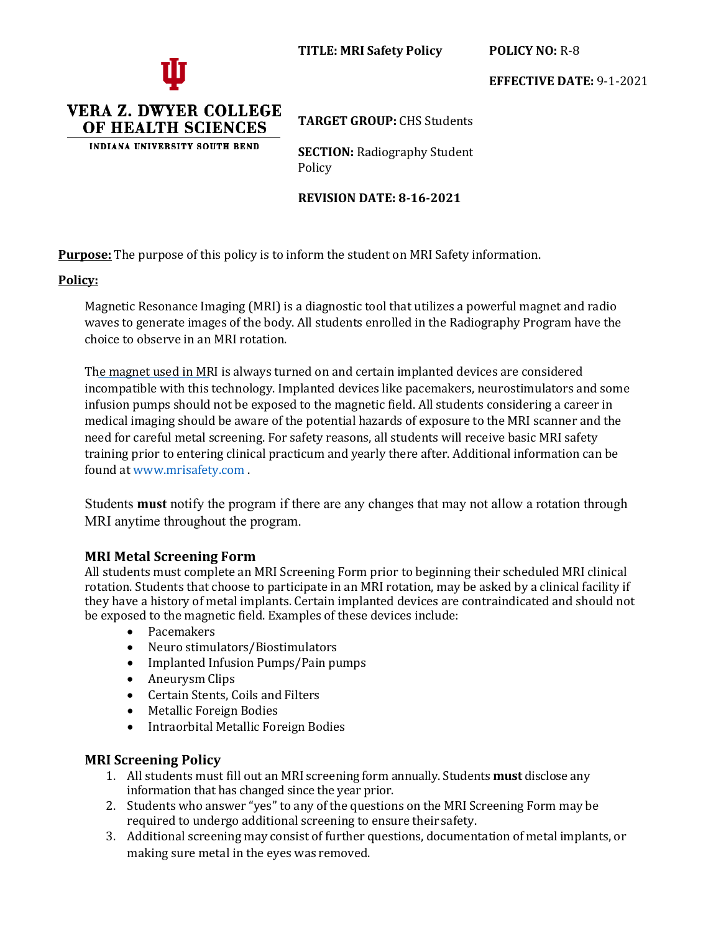



VERA Z. DWYER COLLEGE OF HEALTH SCIENCES **INDIANA UNIVERSITY SOUTH BEND** 

**EFFECTIVE DATE:** 9-1-2021

**TARGET GROUP:** CHS Students

**SECTION: Radiography Student** Policy

**REVISION DATE: 8-16-2021**

**Purpose:** The purpose of this policy is to inform the student on MRI Safety information.

### **Policy:**

Magnetic Resonance Imaging (MRI) is a diagnostic tool that utilizes a powerful magnet and radio waves to generate images of the body. All students enrolled in the Radiography Program have the choice to observe in an MRI rotation.

The magnet used in MRI is always turned on and certain implanted devices are considered incompatible with this technology. Implanted devices like pacemakers, neurostimulators and some infusion pumps should not be exposed to the magnetic field. All students considering a career in medical imaging should be aware of the potential hazards of exposure to the MRI scanner and the need for careful metal screening. For safety reasons, all students will receive basic MRI safety training prior to entering clinical practicum and yearly there after. Additional information can be found a[t www.mrisafety.com .](http://www.mrisafety.com/)

Students **must** notify the program if there are any changes that may not allow a rotation through MRI anytime throughout the program.

## **MRI Metal Screening Form**

All students must complete an MRI Screening Form prior to beginning their scheduled MRI clinical rotation. Students that choose to participate in an MRI rotation, may be asked by a clinical facility if they have a history of metal implants. Certain implanted devices are contraindicated and should not be exposed to the magnetic field. Examples of these devices include:

- Pacemakers
- Neuro stimulators/Biostimulators
- Implanted Infusion Pumps/Pain pumps
- Aneurysm Clips
- Certain Stents, Coils and Filters
- Metallic Foreign Bodies
- Intraorbital Metallic Foreign Bodies

## **MRI Screening Policy**

- 1. All students must fill out an MRI screening form annually. Students **must** disclose any information that has changed since the year prior.
- 2. Students who answer "yes" to any of the questions on the MRI Screening Form may be required to undergo additional screening to ensure their safety.
- 3. Additional screening may consist of further questions, documentation of metal implants, or making sure metal in the eyes was removed.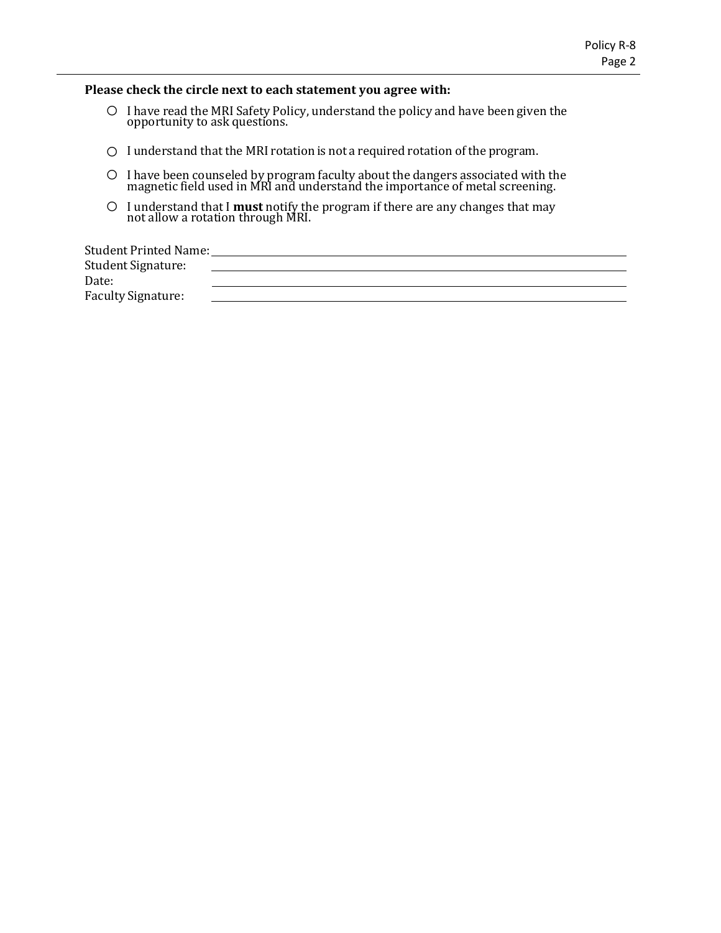#### **Please check the circle next to each statement you agree with:**

- o <sup>I</sup> have read the MRI Safety Policy, understand the policy and have been given the opportunity to ask questions.
- o <sup>I</sup> understand that the MRI rotation is not <sup>a</sup> required rotation of the program.
- o <sup>I</sup> have been counseled by program faculty about the dangers associated with the magnetic field used in MRI and understand the importance of metal screening.
- o I understand that I **must** notify the program if there are any changes that may not allow a rotation through MRI.

Student Printed Name: Student Signature: Date: Faculty Signature: